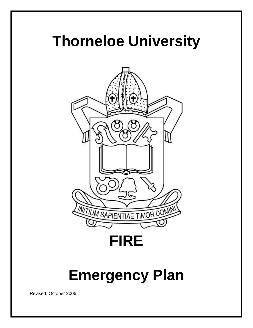# **Thorneloe University**



**FIRE**

# **Emergency Plan**

Revised: October 2006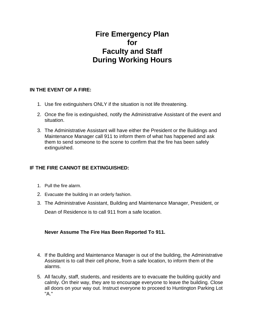# **Fire Emergency Plan for Faculty and Staff During Working Hours**

### **IN THE EVENT OF A FIRE:**

- 1. Use fire extinguishers ONLY if the situation is not life threatening.
- 2. Once the fire is extinguished, notify the Administrative Assistant of the event and situation.
- 3. The Administrative Assistant will have either the President or the Buildings and Maintenance Manager call 911 to inform them of what has happened and ask them to send someone to the scene to confirm that the fire has been safely extinguished.

## **IF THE FIRE CANNOT BE EXTINGUISHED:**

- 1. Pull the fire alarm.
- 2. Evacuate the building in an orderly fashion.
- 3. The Administrative Assistant, Building and Maintenance Manager, President, or Dean of Residence is to call 911 from a safe location.

## **Never Assume The Fire Has Been Reported To 911.**

- 4. If the Building and Maintenance Manager is out of the building, the Administrative Assistant is to call their cell phone, from a safe location, to inform them of the alarms.
- 5. All faculty, staff, students, and residents are to evacuate the building quickly and calmly. On their way, they are to encourage everyone to leave the building. Close all doors on your way out. Instruct everyone to proceed to Huntington Parking Lot "A."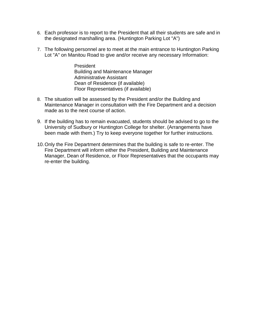- 6. Each professor is to report to the President that all their students are safe and in the designated marshalling area. (Huntington Parking Lot "A")
- 7. The following personnel are to meet at the main entrance to Huntington Parking Lot "A" on Manitou Road to give and/or receive any necessary Information:

President Building and Maintenance Manager Administrative Assistant Dean of Residence (if available) Floor Representatives (if available)

- 8. The situation will be assessed by the President and/or the Building and Maintenance Manager in consultation with the Fire Department and a decision made as to the next course of action.
- 9. If the building has to remain evacuated, students should be advised to go to the University of Sudbury or Huntington College for shelter. (Arrangements have been made with them.) Try to keep everyone together for further instructions.
- 10.Only the Fire Department determines that the building is safe to re-enter. The Fire Department will inform either the President, Building and Maintenance Manager, Dean of Residence, or Floor Representatives that the occupants may re-enter the building.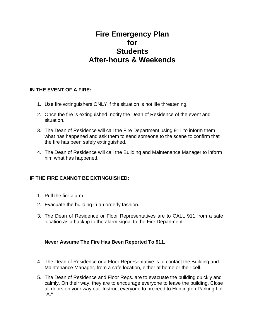## **Fire Emergency Plan for Students After-hours & Weekends**

#### **IN THE EVENT OF A FIRE:**

- 1. Use fire extinguishers ONLY if the situation is not life threatening.
- 2. Once the fire is extinguished, notify the Dean of Residence of the event and situation.
- 3. The Dean of Residence will call the Fire Department using 911 to inform them what has happened and ask them to send someone to the scene to confirm that the fire has been safely extinguished.
- 4. The Dean of Residence will call the Building and Maintenance Manager to inform him what has happened.

#### **IF THE FIRE CANNOT BE EXTINGUISHED:**

- 1. Pull the fire alarm.
- 2. Evacuate the building in an orderly fashion.
- 3. The Dean of Residence or Floor Representatives are to CALL 911 from a safe location as a backup to the alarm signal to the Fire Department.

#### **Never Assume The Fire Has Been Reported To 911.**

- 4. The Dean of Residence or a Floor Representative is to contact the Building and Maintenance Manager, from a safe location, either at home or their cell.
- 5. The Dean of Residence and Floor Reps. are to evacuate the building quickly and calmly. On their way, they are to encourage everyone to leave the building. Close all doors on your way out. Instruct everyone to proceed to Huntington Parking Lot "A."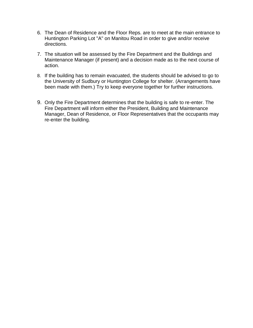- 6. The Dean of Residence and the Floor Reps. are to meet at the main entrance to Huntington Parking Lot "A" on Manitou Road in order to give and/or receive directions.
- 7. The situation will be assessed by the Fire Department and the Buildings and Maintenance Manager (if present) and a decision made as to the next course of action.
- 8. If the building has to remain evacuated, the students should be advised to go to the University of Sudbury or Huntington College for shelter. (Arrangements have been made with them.) Try to keep everyone together for further instructions.
- 9. Only the Fire Department determines that the building is safe to re-enter. The Fire Department will inform either the President, Building and Maintenance Manager, Dean of Residence, or Floor Representatives that the occupants may re-enter the building.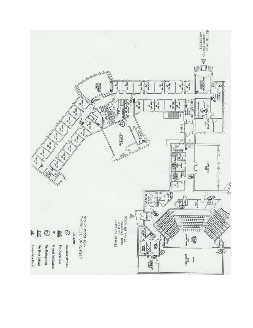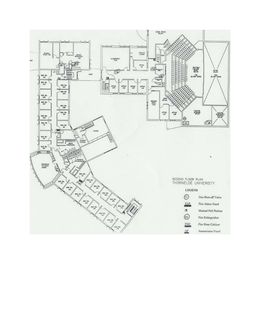